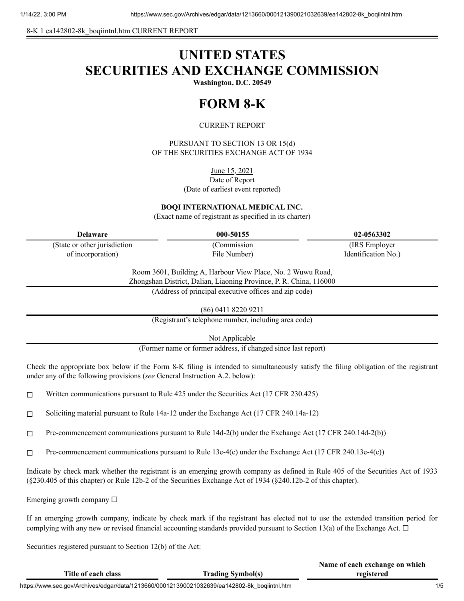8-K 1 ea142802-8k\_boqiintnl.htm CURRENT REPORT

# **UNITED STATES SECURITIES AND EXCHANGE COMMISSION**

**Washington, D.C. 20549**

## **FORM 8-K**

### CURRENT REPORT

PURSUANT TO SECTION 13 OR 15(d) OF THE SECURITIES EXCHANGE ACT OF 1934

June 15, 2021

Date of Report (Date of earliest event reported)

**BOQI INTERNATIONAL MEDICAL INC.**

(Exact name of registrant as specified in its charter)

| <b>Delaware</b>               | 000-50155    | 02-0563302          |
|-------------------------------|--------------|---------------------|
| (State or other jurisdiction) | (Commission) | (IRS Employer)      |
| of incorporation)             | File Number) | Identification No.) |
|                               |              |                     |

Room 3601, Building A, Harbour View Place, No. 2 Wuwu Road, Zhongshan District, Dalian, Liaoning Province, P. R. China, 116000

(Address of principal executive offices and zip code)

(86) 0411 8220 9211

(Registrant's telephone number, including area code)

Not Applicable

(Former name or former address, if changed since last report)

Check the appropriate box below if the Form 8-K filing is intended to simultaneously satisfy the filing obligation of the registrant under any of the following provisions (*see* General Instruction A.2. below):

- $\Box$  Written communications pursuant to Rule 425 under the Securities Act (17 CFR 230.425)
- ☐ Soliciting material pursuant to Rule 14a-12 under the Exchange Act (17 CFR 240.14a-12)
- ☐ Pre-commencement communications pursuant to Rule 14d-2(b) under the Exchange Act (17 CFR 240.14d-2(b))
- $\Box$  Pre-commencement communications pursuant to Rule 13e-4(c) under the Exchange Act (17 CFR 240.13e-4(c))

Indicate by check mark whether the registrant is an emerging growth company as defined in Rule 405 of the Securities Act of 1933 (§230.405 of this chapter) or Rule 12b-2 of the Securities Exchange Act of 1934 (§240.12b-2 of this chapter).

Emerging growth company  $\Box$ 

If an emerging growth company, indicate by check mark if the registrant has elected not to use the extended transition period for complying with any new or revised financial accounting standards provided pursuant to Section 13(a) of the Exchange Act.  $\Box$ 

Securities registered pursuant to Section 12(b) of the Act:

|                                                                                              |                          | Traint of tach exemange on which |  |
|----------------------------------------------------------------------------------------------|--------------------------|----------------------------------|--|
| Title of each class                                                                          | <b>Trading Symbol(s)</b> | registered                       |  |
| https://www.sec.gov/Archives/edgar/data/1213660/000121390021032639/ea142802-8k_boqiintnl.htm |                          |                                  |  |

**Name of each exchange on which**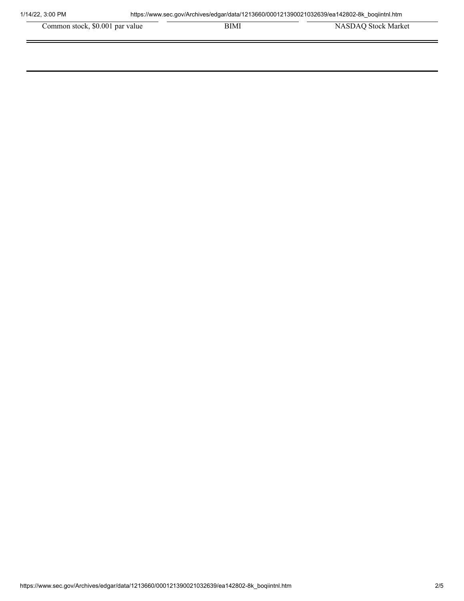| Common stock, \$0.001 par value | BIMI | <b>NASDAO</b> Stock Market |
|---------------------------------|------|----------------------------|
|---------------------------------|------|----------------------------|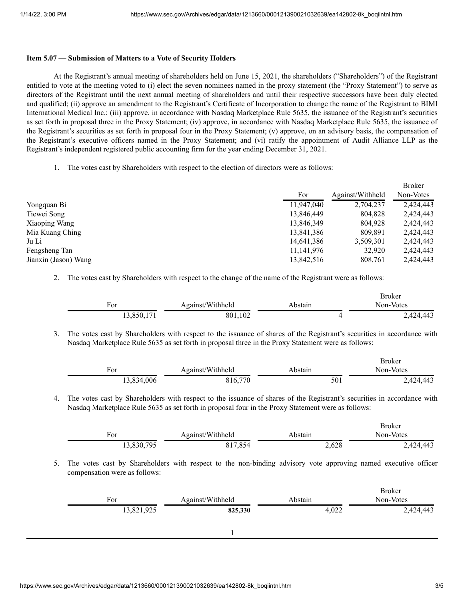#### **Item 5.07 — Submission of Matters to a Vote of Security Holders**

At the Registrant's annual meeting of shareholders held on June 15, 2021, the shareholders ("Shareholders") of the Registrant entitled to vote at the meeting voted to (i) elect the seven nominees named in the proxy statement (the "Proxy Statement") to serve as directors of the Registrant until the next annual meeting of shareholders and until their respective successors have been duly elected and qualified; (ii) approve an amendment to the Registrant's Certificate of Incorporation to change the name of the Registrant to BIMI International Medical Inc.; (iii) approve, in accordance with Nasdaq Marketplace Rule 5635, the issuance of the Registrant's securities as set forth in proposal three in the Proxy Statement; (iv) approve, in accordance with Nasdaq Marketplace Rule 5635, the issuance of the Registrant's securities as set forth in proposal four in the Proxy Statement; (v) approve, on an advisory basis, the compensation of the Registrant's executive officers named in the Proxy Statement; and (vi) ratify the appointment of Audit Alliance LLP as the Registrant's independent registered public accounting firm for the year ending December 31, 2021.

1. The votes cast by Shareholders with respect to the election of directors were as follows:

|                      |              |                  | <b>Broker</b> |  |
|----------------------|--------------|------------------|---------------|--|
|                      | For          | Against/Withheld | Non-Votes     |  |
| Yongquan Bi          | 11,947,040   | 2,704,237        | 2,424,443     |  |
| Tiewei Song          | 13,846,449   | 804.828          | 2,424,443     |  |
| Xiaoping Wang        | 13,846,349   | 804.928          | 2,424,443     |  |
| Mia Kuang Ching      | 13,841,386   | 809,891          | 2,424,443     |  |
| Ju Li                | 14,641,386   | 3,509,301        | 2,424,443     |  |
| Fengsheng Tan        | 11, 141, 976 | 32.920           | 2,424,443     |  |
| Jianxin (Jason) Wang | 13,842,516   | 808.761          | 2.424.443     |  |

2. The votes cast by Shareholders with respect to the change of the name of the Registrant were as follows:

|                   |                  |         | DIANCI        |
|-------------------|------------------|---------|---------------|
| ᠇<br>For<br>- - - | Against/Withheld | Abstain | Non-Votes     |
| 850               | 102<br>801       |         | 424,443<br>٠, |

3. The votes cast by Shareholders with respect to the issuance of shares of the Registrant's securities in accordance with Nasdaq Marketplace Rule 5635 as set forth in proposal three in the Proxy Statement were as follows:

| For        | Against/Withheld | Abstain | <b>Broker</b><br>Non-Votes |
|------------|------------------|---------|----------------------------|
| 13,834,006 | 816,770          | 501     | 2,424,443                  |

4. The votes cast by Shareholders with respect to the issuance of shares of the Registrant's securities in accordance with Nasdaq Marketplace Rule 5635 as set forth in proposal four in the Proxy Statement were as follows:

|                   |                  |         | <b>Broker</b> |
|-------------------|------------------|---------|---------------|
| $\mathbf{r_{or}}$ | Against/Withheld | ⊾bstain | Non-Votes     |
| 13,830,795        | 817,854          | 2,628   | 2,424,443     |

5. The votes cast by Shareholders with respect to the non-binding advisory vote approving named executive officer compensation were as follows:

| For |            | Against/Withheld | Abstain | <b>Broker</b><br>Non-Votes |
|-----|------------|------------------|---------|----------------------------|
|     | 13,821,925 | 825,330          | 4,022   | 2,424,443                  |
|     |            |                  |         |                            |

 $D_{\text{val}}$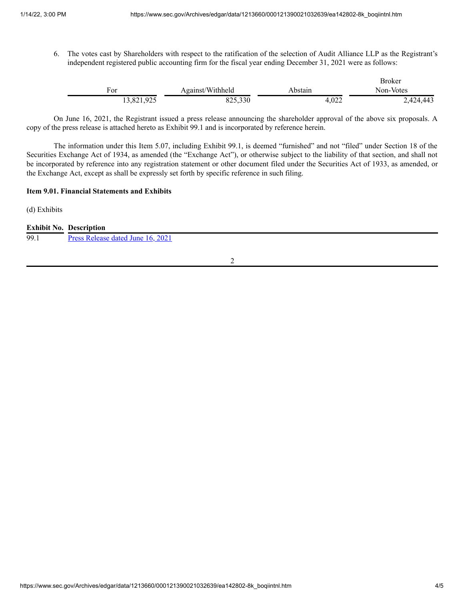Broker

6. The votes cast by Shareholders with respect to the ratification of the selection of Audit Alliance LLP as the Registrant's independent registered public accounting firm for the fiscal year ending December 31, 2021 were as follows:

|                            |                  |         | broker    |
|----------------------------|------------------|---------|-----------|
| For                        | Against/Withheld | Abstain | Non-Votes |
| $02\epsilon$<br>13,821,925 | 825,330          | 4,022   | 2,424,443 |

On June 16, 2021, the Registrant issued a press release announcing the shareholder approval of the above six proposals. A copy of the press release is attached hereto as Exhibit 99.1 and is incorporated by reference herein.

The information under this Item 5.07, including Exhibit 99.1, is deemed "furnished" and not "filed" under Section 18 of the Securities Exchange Act of 1934, as amended (the "Exchange Act"), or otherwise subject to the liability of that section, and shall not be incorporated by reference into any registration statement or other document filed under the Securities Act of 1933, as amended, or the Exchange Act, except as shall be expressly set forth by specific reference in such filing.

#### **Item 9.01. Financial Statements and Exhibits**

(d) Exhibits

| <b>Exhibit No. Description</b> |
|--------------------------------|
|                                |

| 99.1 | Press Release dated June 16, 2021 |
|------|-----------------------------------|
|      |                                   |

2